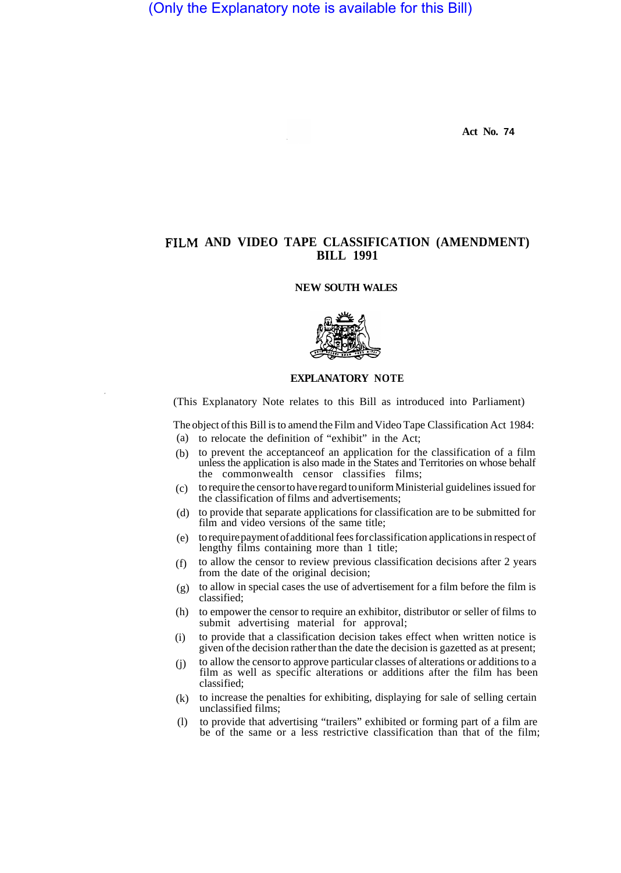(Only the Explanatory note is available for this Bill)

**Act No. 74** 

## **FILM AND VIDEO TAPE CLASSIFICATION (AMENDMENT) BILL 1991**

## **NEW SOUTH WALES**



## **EXPLANATORY NOTE**

(This Explanatory Note relates to this Bill as introduced into Parliament)

The object of this Bill is to amend the Film and Video Tape Classification Act 1984:

- (a) to relocate the definition of "exhibit" in the Act;
- (b) to prevent the acceptance of an application for the classification of a film unless the application is also made in the States and Territories on whose behalf the commonwealth censor classifies films;
- to require the censor to have regard to uniform Ministerial guidelines issued for the classification of films and advertisements;  $(c)$
- to provide that separate applications for classification are to be submitted for film and video versions of the same title; (d)
- to require payment of additional fees for classification applications in respect of (e) lengthy films containing more than 1 title;
- to allow the censor to review previous classification decisions after 2 years from the date of the original decision; (f)
- to allow in special cases the use of advertisement for a film before the film is (g) classified;
- (h) to empower the censor to require an exhibitor, distributor or seller of films to submit advertising material for approval;
- to provide that a classification decision takes effect when written notice is given of the decision rather than the date the decision is gazetted as at present; (i)
- to allow the censor to approve particular classes of alterations or additions to a film as well as specific alterations or additions after the film has been classified; (j)
- to increase the penalties for exhibiting, displaying for sale of selling certain unclassified films; (k)
- to provide that advertising "trailers" exhibited or forming part of a film are be of the same or a less restrictive classification than that of the film; (l)